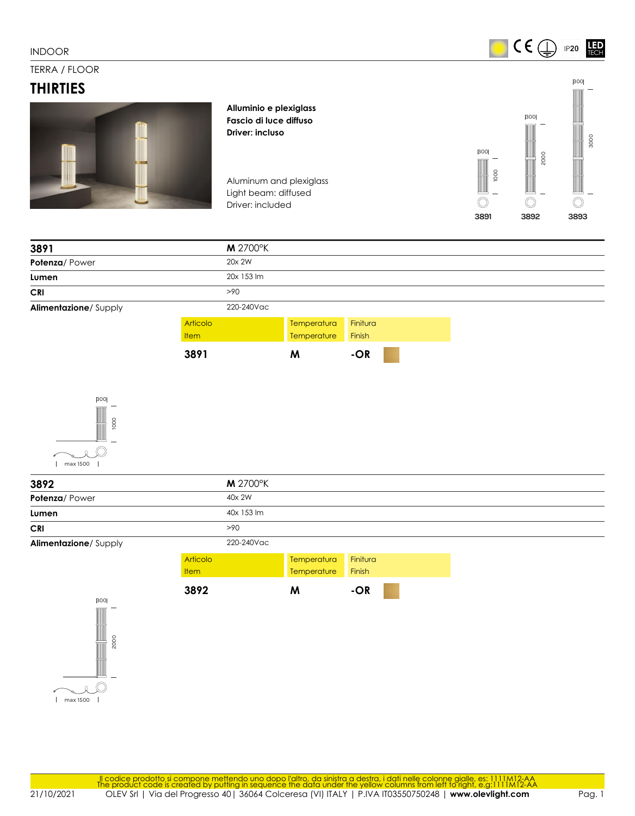$CE \n\mathbb{Q}$   $P20$ **LED** 

## TERRA / FLOOR

## **THIRTIES**



**Alluminio e plexiglass Fascio di luce diffuso Driver: incluso**

Aluminum and plexiglass Light beam: diffused Driver: included



| 3891                 | <b>M</b> 2700°K |             |          |  |
|----------------------|-----------------|-------------|----------|--|
| Potenza/Power        | 20x 2W          |             |          |  |
| Lumen                | 20x 153 lm      |             |          |  |
| <b>CRI</b>           | >90             |             |          |  |
| Alimentazione/Supply | 220-240Vac      |             |          |  |
|                      | Articolo        | Temperatura | Finitura |  |
|                      | <b>Item</b>     | Temperature | Finish   |  |
|                      | 3891            | M           | -OR      |  |



| 3892                 |             | <b>M</b> 2700°K |             |          |  |
|----------------------|-------------|-----------------|-------------|----------|--|
| Potenza/Power        |             | 40x 2W          |             |          |  |
| Lumen                |             | 40x 153 lm      |             |          |  |
| <b>CRI</b>           |             | >90             |             |          |  |
| Alimentazione/Supply |             | 220-240Vac      |             |          |  |
|                      | Articolo    |                 | Temperatura | Finitura |  |
|                      | <b>Item</b> |                 | Temperature | Finish   |  |
|                      | 3892        |                 | M           | $-OR$    |  |
| 300                  |             |                 |             |          |  |